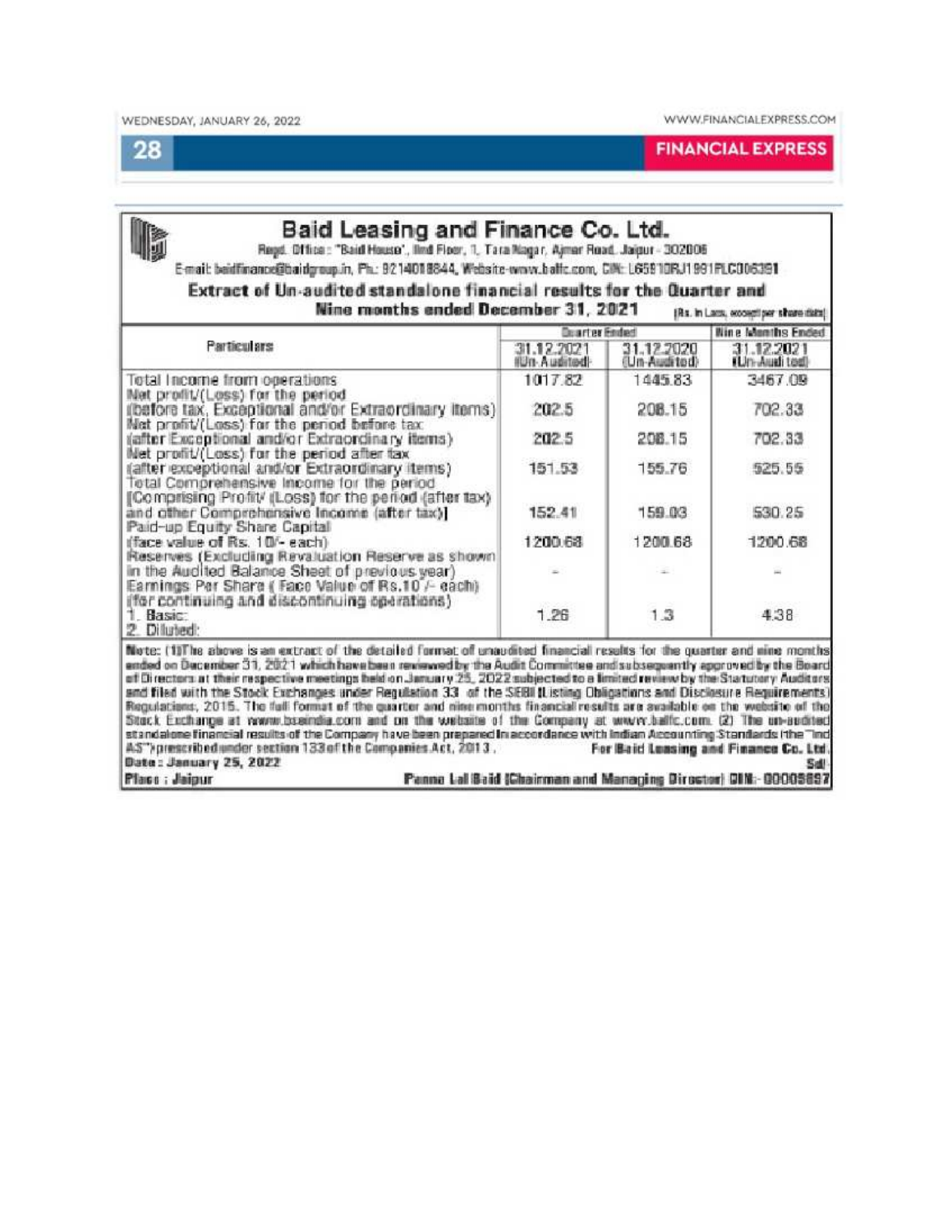28

**FINANCIAL EXPRESS** 

| <b>Particulars</b>                                                                                                                                   | <b>Dearter Ended</b>      |                            | <b>Nine Manths Ended</b>    |  |
|------------------------------------------------------------------------------------------------------------------------------------------------------|---------------------------|----------------------------|-----------------------------|--|
|                                                                                                                                                      | 31.12.2021<br>IUn Audited | 31.12.2020<br>(Un-Audited) | 31.12.2021<br>(Un-Audi ted) |  |
| Total Income from operations                                                                                                                         | 1017.82                   | 144583                     | 3467.09                     |  |
| Met profit/(Loss) for the period<br>ilbefore tax. Exceptional and/or Extraordinary items)<br>Net profit/(Loss) for the period before tax             | 202.5                     | 208.15                     | 702.33                      |  |
| (after Exceptional and/or Extraordinary items)<br>Met profit/(Loss) for the period after tax                                                         | 202.5                     | 208.15                     | 702.33                      |  |
| (after exceptional and/or Extraordinary items)<br>Total Comprehensive Income for the period<br>[Comprising Profit/ (Loss) for the period (after tax) | 151.53                    | 155.76                     | 525.55                      |  |
| and other Comprehensive Income (after tax)]<br>Paid-up Equity Share Capital                                                                          | 152.41                    | 159.03                     | 530.25                      |  |
| (face value of Rs. 10/- each).<br>Reserves (Excluding Revaluation Reserve as shown                                                                   | 1200.68                   | 1200.68                    | 1200.68                     |  |
| in the Audited Balance Sheet of previous year)<br>Earnings Per Share ( Face Value of Rs.10 /- each)<br>(for continuing and discontinuing operations) |                           |                            |                             |  |
| 1 Basic:<br>2 Diluted:                                                                                                                               | 1.26                      | 1.3                        | 4.38                        |  |